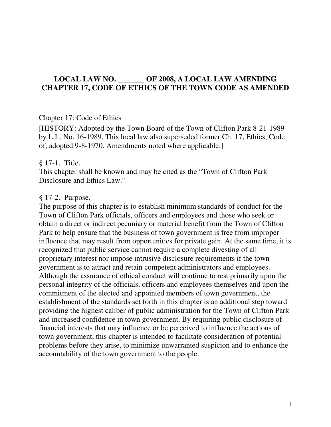### **LOCAL LAW NO. \_\_\_\_\_\_\_ OF 2008, A LOCAL LAW AMENDING CHAPTER 17, CODE OF ETHICS OF THE TOWN CODE AS AMENDED**

#### Chapter 17: Code of Ethics

[HISTORY: Adopted by the Town Board of the Town of Clifton Park 8-21-1989 by L.L. No. 16-1989. This local law also superseded former Ch. 17, Ethics, Code of, adopted 9-8-1970. Amendments noted where applicable.]

#### § 17-1. Title.

This chapter shall be known and may be cited as the "Town of Clifton Park Disclosure and Ethics Law."

#### § 17-2. Purpose.

The purpose of this chapter is to establish minimum standards of conduct for the Town of Clifton Park officials, officers and employees and those who seek or obtain a direct or indirect pecuniary or material benefit from the Town of Clifton Park to help ensure that the business of town government is free from improper influence that may result from opportunities for private gain. At the same time, it is recognized that public service cannot require a complete divesting of all proprietary interest nor impose intrusive disclosure requirements if the town government is to attract and retain competent administrators and employees. Although the assurance of ethical conduct will continue to rest primarily upon the personal integrity of the officials, officers and employees themselves and upon the commitment of the elected and appointed members of town government, the establishment of the standards set forth in this chapter is an additional step toward providing the highest caliber of public administration for the Town of Clifton Park and increased confidence in town government. By requiring public disclosure of financial interests that may influence or be perceived to influence the actions of town government, this chapter is intended to facilitate consideration of potential problems before they arise, to minimize unwarranted suspicion and to enhance the accountability of the town government to the people.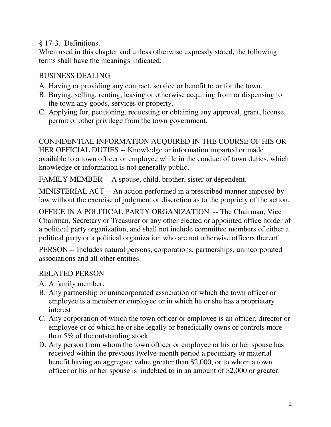## § 17-3. Definitions.

When used in this chapter and unless otherwise expressly stated, the following terms shall have the meanings indicated:

## BUSINESS DEALING

- A. Having or providing any contract, service or benefit to or for the town.
- B. Buying, selling, renting, leasing or otherwise acquiring from or dispensing to the town any goods, services or property.
- C. Applying for, petitioning, requesting or obtaining any approval, grant, license, permit or other privilege from the town government.

CONFIDENTIAL INFORMATION ACQUIRED IN THE COURSE OF HIS OR HER OFFICIAL DUTIES -- Knowledge or information imparted or made available to a town officer or employee while in the conduct of town duties, which knowledge or information is not generally public.

FAMILY MEMBER -- A spouse, child, brother, sister or dependent.

MINISTERIAL ACT -- An action performed in a prescribed manner imposed by law without the exercise of judgment or discretion as to the propriety of the action.

OFFICE IN A POLITICAL PARTY ORGANIZATION -- The Chairman, Vice Chairman, Secretary or Treasurer or any other elected or appointed office holder of a political party organization, and shall not include committee members of either a political party or a political organization who are not otherwise officers thereof.

PERSON -- Includes natural persons, corporations, partnerships, unincorporated associations and all other entities.

# RELATED PERSON

- A. A family member.
- B. Any partnership or unincorporated association of which the town officer or employee is a member or employee or in which he or she has a proprietary interest.
- C. Any corporation of which the town officer or employee is an officer, director or employee or of which he or she legally or beneficially owns or controls more than 5% of the outstanding stock.
- D. Any person from whom the town officer or employee or his or her spouse has received within the previous twelve-month period a pecuniary or material benefit having an aggregate value greater than \$2,000, or to whom a town officer or his or her spouse is indebted to in an amount of \$2,000 or greater.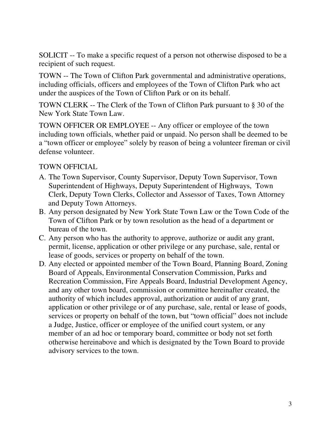SOLICIT -- To make a specific request of a person not otherwise disposed to be a recipient of such request.

TOWN -- The Town of Clifton Park governmental and administrative operations, including officials, officers and employees of the Town of Clifton Park who act under the auspices of the Town of Clifton Park or on its behalf.

TOWN CLERK -- The Clerk of the Town of Clifton Park pursuant to § 30 of the New York State Town Law.

TOWN OFFICER OR EMPLOYEE -- Any officer or employee of the town including town officials, whether paid or unpaid. No person shall be deemed to be a "town officer or employee" solely by reason of being a volunteer fireman or civil defense volunteer.

## TOWN OFFICIAL

- A. The Town Supervisor, County Supervisor, Deputy Town Supervisor, Town Superintendent of Highways, Deputy Superintendent of Highways, Town Clerk, Deputy Town Clerks, Collector and Assessor of Taxes, Town Attorney and Deputy Town Attorneys.
- B. Any person designated by New York State Town Law or the Town Code of the Town of Clifton Park or by town resolution as the head of a department or bureau of the town.
- C. Any person who has the authority to approve, authorize or audit any grant, permit, license, application or other privilege or any purchase, sale, rental or lease of goods, services or property on behalf of the town.
- D. Any elected or appointed member of the Town Board, Planning Board, Zoning Board of Appeals, Environmental Conservation Commission, Parks and Recreation Commission, Fire Appeals Board, Industrial Development Agency, and any other town board, commission or committee hereinafter created, the authority of which includes approval, authorization or audit of any grant, application or other privilege or of any purchase, sale, rental or lease of goods, services or property on behalf of the town, but "town official" does not include a Judge, Justice, officer or employee of the unified court system, or any member of an ad hoc or temporary board, committee or body not set forth otherwise hereinabove and which is designated by the Town Board to provide advisory services to the town.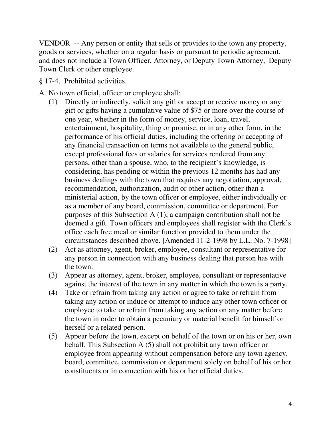VENDOR -- Any person or entity that sells or provides to the town any property, goods or services, whether on a regular basis or pursuant to periodic agreement, and does not include a Town Officer, Attorney, or Deputy Town Attorney, Deputy Town Clerk or other employee.

- § 17-4. Prohibited activities.
- A. No town official, officer or employee shall:
	- (1) Directly or indirectly, solicit any gift or accept or receive money or any gift or gifts having a cumulative value of \$75 or more over the course of one year, whether in the form of money, service, loan, travel, entertainment, hospitality, thing or promise, or in any other form, in the performance of his official duties, including the offering or accepting of any financial transaction on terms not available to the general public, except professional fees or salaries for services rendered from any persons, other than a spouse, who, to the recipient's knowledge, is considering, has pending or within the previous 12 months has had any business dealings with the town that requires any negotiation, approval, recommendation, authorization, audit or other action, other than a ministerial action, by the town officer or employee, either individually or as a member of any board, commission, committee or department. For purposes of this Subsection A (1), a campaign contribution shall not be deemed a gift. Town officers and employees shall register with the Clerk's office each free meal or similar function provided to them under the circumstances described above. [Amended 11-2-1998 by L.L. No. 7-1998]
	- (2) Act as attorney, agent, broker, employee, consultant or representative for any person in connection with any business dealing that person has with the town.
	- (3) Appear as attorney, agent, broker, employee, consultant or representative against the interest of the town in any matter in which the town is a party.
	- (4) Take or refrain from taking any action or agree to take or refrain from taking any action or induce or attempt to induce any other town officer or employee to take or refrain from taking any action on any matter before the town in order to obtain a pecuniary or material benefit for himself or herself or a related person.
	- (5) Appear before the town, except on behalf of the town or on his or her, own behalf. This Subsection A (5) shall not prohibit any town officer or employee from appearing without compensation before any town agency, board, committee, commission or department solely on behalf of his or her constituents or in connection with his or her official duties.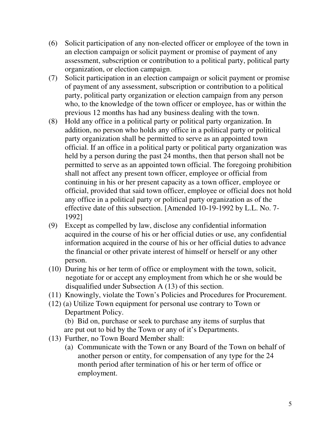- (6) Solicit participation of any non-elected officer or employee of the town in an election campaign or solicit payment or promise of payment of any assessment, subscription or contribution to a political party, political party organization, or election campaign.
- (7) Solicit participation in an election campaign or solicit payment or promise of payment of any assessment, subscription or contribution to a political party, political party organization or election campaign from any person who, to the knowledge of the town officer or employee, has or within the previous 12 months has had any business dealing with the town.
- (8) Hold any office in a political party or political party organization. In addition, no person who holds any office in a political party or political party organization shall be permitted to serve as an appointed town official. If an office in a political party or political party organization was held by a person during the past 24 months, then that person shall not be permitted to serve as an appointed town official. The foregoing prohibition shall not affect any present town officer, employee or official from continuing in his or her present capacity as a town officer, employee or official, provided that said town officer, employee or official does not hold any office in a political party or political party organization as of the effective date of this subsection. [Amended 10-19-1992 by L.L. No. 7- 1992]
- (9) Except as compelled by law, disclose any confidential information acquired in the course of his or her official duties or use, any confidential information acquired in the course of his or her official duties to advance the financial or other private interest of himself or herself or any other person.
- (10) During his or her term of office or employment with the town, solicit, negotiate for or accept any employment from which he or she would be disqualified under Subsection A (13) of this section.
- (11) Knowingly, violate the Town's Policies and Procedures for Procurement.
- (12) (a) Utilize Town equipment for personal use contrary to Town or Department Policy.

 (b) Bid on, purchase or seek to purchase any items of surplus that are put out to bid by the Town or any of it's Departments.

- (13) Further, no Town Board Member shall:
	- (a) Communicate with the Town or any Board of the Town on behalf of another person or entity, for compensation of any type for the 24 month period after termination of his or her term of office or employment.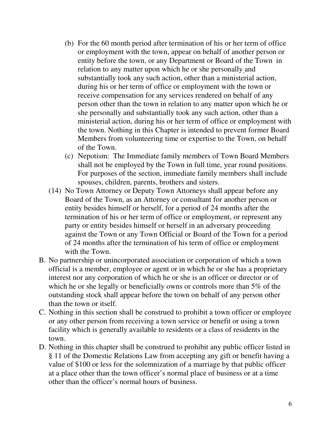- (b) For the 60 month period after termination of his or her term of office or employment with the town, appear on behalf of another person or entity before the town, or any Department or Board of the Town in relation to any matter upon which he or she personally and substantially took any such action, other than a ministerial action, during his or her term of office or employment with the town or receive compensation for any services rendered on behalf of any person other than the town in relation to any matter upon which he or she personally and substantially took any such action, other than a ministerial action, during his or her term of office or employment with the town. Nothing in this Chapter is intended to prevent former Board Members from volunteering time or expertise to the Town, on behalf of the Town.
- (c) Nepotism: The Immediate family members of Town Board Members shall not be employed by the Town in full time, year round positions. For purposes of the section, immediate family members shall include spouses, children, parents, brothers and sisters.
- (14) No Town Attorney or Deputy Town Attorneys shall appear before any Board of the Town, as an Attorney or consultant for another person or entity besides himself or herself, for a period of 24 months after the termination of his or her term of office or employment, or represent any party or entity besides himself or herself in an adversary proceeding against the Town or any Town Official or Board of the Town for a period of 24 months after the termination of his term of office or employment with the Town.
- B. No partnership or unincorporated association or corporation of which a town official is a member, employee or agent or in which he or she has a proprietary interest nor any corporation of which he or she is an officer or director or of which he or she legally or beneficially owns or controls more than 5% of the outstanding stock shall appear before the town on behalf of any person other than the town or itself.
- C. Nothing in this section shall be construed to prohibit a town officer or employee or any other person from receiving a town service or benefit or using a town facility which is generally available to residents or a class of residents in the town.
- D. Nothing in this chapter shall be construed to prohibit any public officer listed in § 11 of the Domestic Relations Law from accepting any gift or benefit having a value of \$100 or less for the solemnization of a marriage by that public officer at a place other than the town officer's normal place of business or at a time other than the officer's normal hours of business.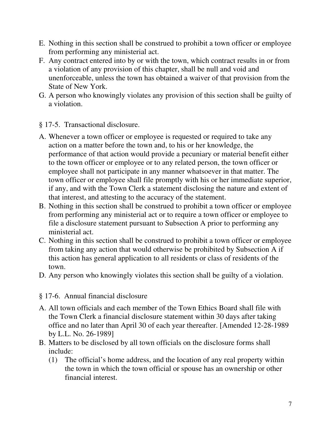- E. Nothing in this section shall be construed to prohibit a town officer or employee from performing any ministerial act.
- F. Any contract entered into by or with the town, which contract results in or from a violation of any provision of this chapter, shall be null and void and unenforceable, unless the town has obtained a waiver of that provision from the State of New York.
- G. A person who knowingly violates any provision of this section shall be guilty of a violation.
- § 17-5. Transactional disclosure.
- A. Whenever a town officer or employee is requested or required to take any action on a matter before the town and, to his or her knowledge, the performance of that action would provide a pecuniary or material benefit either to the town officer or employee or to any related person, the town officer or employee shall not participate in any manner whatsoever in that matter. The town officer or employee shall file promptly with his or her immediate superior, if any, and with the Town Clerk a statement disclosing the nature and extent of that interest, and attesting to the accuracy of the statement.
- B. Nothing in this section shall be construed to prohibit a town officer or employee from performing any ministerial act or to require a town officer or employee to file a disclosure statement pursuant to Subsection A prior to performing any ministerial act.
- C. Nothing in this section shall be construed to prohibit a town officer or employee from taking any action that would otherwise be prohibited by Subsection A if this action has general application to all residents or class of residents of the town.
- D. Any person who knowingly violates this section shall be guilty of a violation.
- § 17-6. Annual financial disclosure
- A. All town officials and each member of the Town Ethics Board shall file with the Town Clerk a financial disclosure statement within 30 days after taking office and no later than April 30 of each year thereafter. [Amended 12-28-1989 by L.L. No. 26-1989]
- B. Matters to be disclosed by all town officials on the disclosure forms shall include:
	- (1) The official's home address, and the location of any real property within the town in which the town official or spouse has an ownership or other financial interest.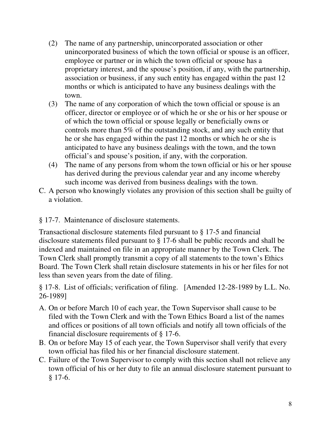- (2) The name of any partnership, unincorporated association or other unincorporated business of which the town official or spouse is an officer, employee or partner or in which the town official or spouse has a proprietary interest, and the spouse's position, if any, with the partnership, association or business, if any such entity has engaged within the past 12 months or which is anticipated to have any business dealings with the town.
- (3) The name of any corporation of which the town official or spouse is an officer, director or employee or of which he or she or his or her spouse or of which the town official or spouse legally or beneficially owns or controls more than 5% of the outstanding stock, and any such entity that he or she has engaged within the past 12 months or which he or she is anticipated to have any business dealings with the town, and the town official's and spouse's position, if any, with the corporation.
- (4) The name of any persons from whom the town official or his or her spouse has derived during the previous calendar year and any income whereby such income was derived from business dealings with the town.
- C. A person who knowingly violates any provision of this section shall be guilty of a violation.

## § 17-7. Maintenance of disclosure statements.

Transactional disclosure statements filed pursuant to § 17-5 and financial disclosure statements filed pursuant to § 17-6 shall be public records and shall be indexed and maintained on file in an appropriate manner by the Town Clerk. The Town Clerk shall promptly transmit a copy of all statements to the town's Ethics Board. The Town Clerk shall retain disclosure statements in his or her files for not less than seven years from the date of filing.

§ 17-8. List of officials; verification of filing. [Amended 12-28-1989 by L.L. No. 26-1989]

- A. On or before March 10 of each year, the Town Supervisor shall cause to be filed with the Town Clerk and with the Town Ethics Board a list of the names and offices or positions of all town officials and notify all town officials of the financial disclosure requirements of § 17-6.
- B. On or before May 15 of each year, the Town Supervisor shall verify that every town official has filed his or her financial disclosure statement.
- C. Failure of the Town Supervisor to comply with this section shall not relieve any town official of his or her duty to file an annual disclosure statement pursuant to § 17-6.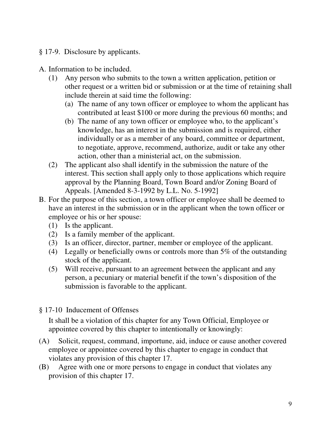- § 17-9. Disclosure by applicants.
- A. Information to be included.
	- (1) Any person who submits to the town a written application, petition or other request or a written bid or submission or at the time of retaining shall include therein at said time the following:
		- (a) The name of any town officer or employee to whom the applicant has contributed at least \$100 or more during the previous 60 months; and
		- (b) The name of any town officer or employee who, to the applicant's knowledge, has an interest in the submission and is required, either individually or as a member of any board, committee or department, to negotiate, approve, recommend, authorize, audit or take any other action, other than a ministerial act, on the submission.
	- (2) The applicant also shall identify in the submission the nature of the interest. This section shall apply only to those applications which require approval by the Planning Board, Town Board and/or Zoning Board of Appeals. [Amended 8-3-1992 by L.L. No. 5-1992]
- B. For the purpose of this section, a town officer or employee shall be deemed to have an interest in the submission or in the applicant when the town officer or employee or his or her spouse:
	- (1) Is the applicant.
	- (2) Is a family member of the applicant.
	- (3) Is an officer, director, partner, member or employee of the applicant.
	- (4) Legally or beneficially owns or controls more than 5% of the outstanding stock of the applicant.
	- (5) Will receive, pursuant to an agreement between the applicant and any person, a pecuniary or material benefit if the town's disposition of the submission is favorable to the applicant.
- § 17-10 Inducement of Offenses

It shall be a violation of this chapter for any Town Official, Employee or appointee covered by this chapter to intentionally or knowingly:

- (A) Solicit, request, command, importune, aid, induce or cause another covered employee or appointee covered by this chapter to engage in conduct that violates any provision of this chapter 17.
- (B) Agree with one or more persons to engage in conduct that violates any provision of this chapter 17.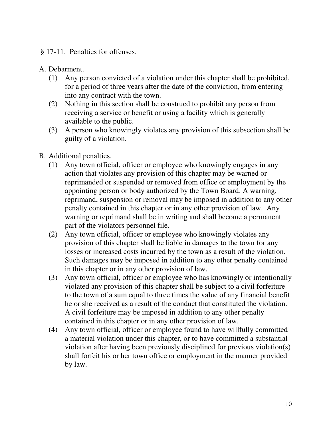#### § 17-11. Penalties for offenses.

### A. Debarment.

- (1) Any person convicted of a violation under this chapter shall be prohibited, for a period of three years after the date of the conviction, from entering into any contract with the town.
- (2) Nothing in this section shall be construed to prohibit any person from receiving a service or benefit or using a facility which is generally available to the public.
- (3) A person who knowingly violates any provision of this subsection shall be guilty of a violation.
- B. Additional penalties.
	- (1) Any town official, officer or employee who knowingly engages in any action that violates any provision of this chapter may be warned or reprimanded or suspended or removed from office or employment by the appointing person or body authorized by the Town Board. A warning, reprimand, suspension or removal may be imposed in addition to any other penalty contained in this chapter or in any other provision of law. Any warning or reprimand shall be in writing and shall become a permanent part of the violators personnel file.
	- (2) Any town official, officer or employee who knowingly violates any provision of this chapter shall be liable in damages to the town for any losses or increased costs incurred by the town as a result of the violation. Such damages may be imposed in addition to any other penalty contained in this chapter or in any other provision of law.
	- (3) Any town official, officer or employee who has knowingly or intentionally violated any provision of this chapter shall be subject to a civil forfeiture to the town of a sum equal to three times the value of any financial benefit he or she received as a result of the conduct that constituted the violation. A civil forfeiture may be imposed in addition to any other penalty contained in this chapter or in any other provision of law.
	- (4) Any town official, officer or employee found to have willfully committed a material violation under this chapter, or to have committed a substantial violation after having been previously disciplined for previous violation(s) shall forfeit his or her town office or employment in the manner provided by law.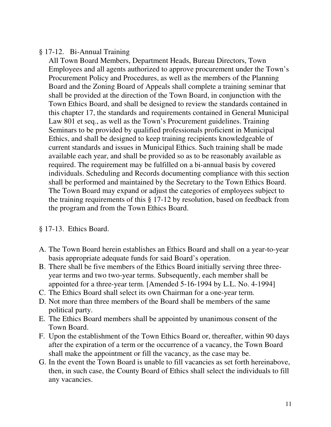## § 17-12. Bi-Annual Training

All Town Board Members, Department Heads, Bureau Directors, Town Employees and all agents authorized to approve procurement under the Town's Procurement Policy and Procedures, as well as the members of the Planning Board and the Zoning Board of Appeals shall complete a training seminar that shall be provided at the direction of the Town Board, in conjunction with the Town Ethics Board, and shall be designed to review the standards contained in this chapter 17, the standards and requirements contained in General Municipal Law 801 et seq., as well as the Town's Procurement guidelines. Training Seminars to be provided by qualified professionals proficient in Municipal Ethics, and shall be designed to keep training recipients knowledgeable of current standards and issues in Municipal Ethics. Such training shall be made available each year, and shall be provided so as to be reasonably available as required. The requirement may be fulfilled on a bi-annual basis by covered individuals. Scheduling and Records documenting compliance with this section shall be performed and maintained by the Secretary to the Town Ethics Board. The Town Board may expand or adjust the categories of employees subject to the training requirements of this § 17-12 by resolution, based on feedback from the program and from the Town Ethics Board.

#### § 17-13. Ethics Board.

- A. The Town Board herein establishes an Ethics Board and shall on a year-to-year basis appropriate adequate funds for said Board's operation.
- B. There shall be five members of the Ethics Board initially serving three threeyear terms and two two-year terms. Subsequently, each member shall be appointed for a three-year term. [Amended 5-16-1994 by L.L. No. 4-1994]
- C. The Ethics Board shall select its own Chairman for a one-year term.
- D. Not more than three members of the Board shall be members of the same political party.
- E. The Ethics Board members shall be appointed by unanimous consent of the Town Board.
- F. Upon the establishment of the Town Ethics Board or, thereafter, within 90 days after the expiration of a term or the occurrence of a vacancy, the Town Board shall make the appointment or fill the vacancy, as the case may be.
- G. In the event the Town Board is unable to fill vacancies as set forth hereinabove, then, in such case, the County Board of Ethics shall select the individuals to fill any vacancies.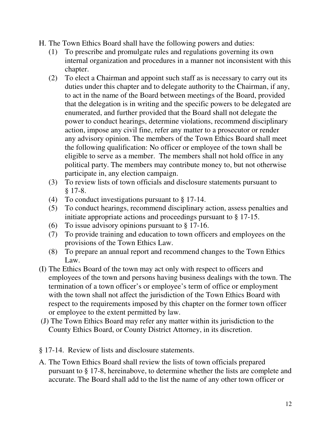- H. The Town Ethics Board shall have the following powers and duties:
	- (1) To prescribe and promulgate rules and regulations governing its own internal organization and procedures in a manner not inconsistent with this chapter.
	- (2) To elect a Chairman and appoint such staff as is necessary to carry out its duties under this chapter and to delegate authority to the Chairman, if any, to act in the name of the Board between meetings of the Board, provided that the delegation is in writing and the specific powers to be delegated are enumerated, and further provided that the Board shall not delegate the power to conduct hearings, determine violations, recommend disciplinary action, impose any civil fine, refer any matter to a prosecutor or render any advisory opinion. The members of the Town Ethics Board shall meet the following qualification: No officer or employee of the town shall be eligible to serve as a member. The members shall not hold office in any political party. The members may contribute money to, but not otherwise participate in, any election campaign.
	- (3) To review lists of town officials and disclosure statements pursuant to § 17-8.
	- (4) To conduct investigations pursuant to § 17-14.
	- (5) To conduct hearings, recommend disciplinary action, assess penalties and initiate appropriate actions and proceedings pursuant to § 17-15.
	- (6) To issue advisory opinions pursuant to § 17-16.
	- (7) To provide training and education to town officers and employees on the provisions of the Town Ethics Law.
	- (8) To prepare an annual report and recommend changes to the Town Ethics Law.
- (I) The Ethics Board of the town may act only with respect to officers and employees of the town and persons having business dealings with the town. The termination of a town officer's or employee's term of office or employment with the town shall not affect the jurisdiction of the Town Ethics Board with respect to the requirements imposed by this chapter on the former town officer or employee to the extent permitted by law.
- (J) The Town Ethics Board may refer any matter within its jurisdiction to the County Ethics Board, or County District Attorney, in its discretion.
- § 17-14. Review of lists and disclosure statements.
- A. The Town Ethics Board shall review the lists of town officials prepared pursuant to § 17-8, hereinabove, to determine whether the lists are complete and accurate. The Board shall add to the list the name of any other town officer or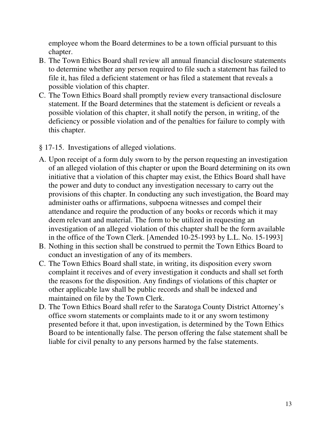employee whom the Board determines to be a town official pursuant to this chapter.

- B. The Town Ethics Board shall review all annual financial disclosure statements to determine whether any person required to file such a statement has failed to file it, has filed a deficient statement or has filed a statement that reveals a possible violation of this chapter.
- C. The Town Ethics Board shall promptly review every transactional disclosure statement. If the Board determines that the statement is deficient or reveals a possible violation of this chapter, it shall notify the person, in writing, of the deficiency or possible violation and of the penalties for failure to comply with this chapter.
- § 17-15. Investigations of alleged violations.
- A. Upon receipt of a form duly sworn to by the person requesting an investigation of an alleged violation of this chapter or upon the Board determining on its own initiative that a violation of this chapter may exist, the Ethics Board shall have the power and duty to conduct any investigation necessary to carry out the provisions of this chapter. In conducting any such investigation, the Board may administer oaths or affirmations, subpoena witnesses and compel their attendance and require the production of any books or records which it may deem relevant and material. The form to be utilized in requesting an investigation of an alleged violation of this chapter shall be the form available in the office of the Town Clerk. [Amended 10-25-1993 by L.L. No. 15-1993]
- B. Nothing in this section shall be construed to permit the Town Ethics Board to conduct an investigation of any of its members.
- C. The Town Ethics Board shall state, in writing, its disposition every sworn complaint it receives and of every investigation it conducts and shall set forth the reasons for the disposition. Any findings of violations of this chapter or other applicable law shall be public records and shall be indexed and maintained on file by the Town Clerk.
- D. The Town Ethics Board shall refer to the Saratoga County District Attorney's office sworn statements or complaints made to it or any sworn testimony presented before it that, upon investigation, is determined by the Town Ethics Board to be intentionally false. The person offering the false statement shall be liable for civil penalty to any persons harmed by the false statements.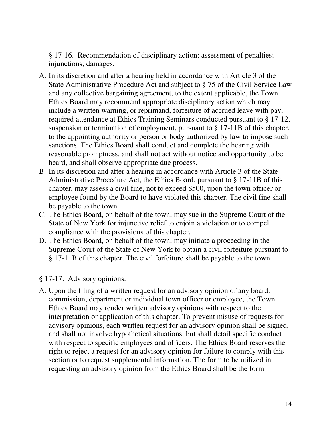§ 17-16. Recommendation of disciplinary action; assessment of penalties; injunctions; damages.

- A. In its discretion and after a hearing held in accordance with Article 3 of the State Administrative Procedure Act and subject to § 75 of the Civil Service Law and any collective bargaining agreement, to the extent applicable, the Town Ethics Board may recommend appropriate disciplinary action which may include a written warning, or reprimand, forfeiture of accrued leave with pay, required attendance at Ethics Training Seminars conducted pursuant to § 17-12, suspension or termination of employment, pursuant to § 17-11B of this chapter, to the appointing authority or person or body authorized by law to impose such sanctions. The Ethics Board shall conduct and complete the hearing with reasonable promptness, and shall not act without notice and opportunity to be heard, and shall observe appropriate due process.
- B. In its discretion and after a hearing in accordance with Article 3 of the State Administrative Procedure Act, the Ethics Board, pursuant to § 17-11B of this chapter, may assess a civil fine, not to exceed \$500, upon the town officer or employee found by the Board to have violated this chapter. The civil fine shall be payable to the town.
- C. The Ethics Board, on behalf of the town, may sue in the Supreme Court of the State of New York for injunctive relief to enjoin a violation or to compel compliance with the provisions of this chapter.
- D. The Ethics Board, on behalf of the town, may initiate a proceeding in the Supreme Court of the State of New York to obtain a civil forfeiture pursuant to § 17-11B of this chapter. The civil forfeiture shall be payable to the town.
- § 17-17. Advisory opinions.
- A. Upon the filing of a written request for an advisory opinion of any board, commission, department or individual town officer or employee, the Town Ethics Board may render written advisory opinions with respect to the interpretation or application of this chapter. To prevent misuse of requests for advisory opinions, each written request for an advisory opinion shall be signed, and shall not involve hypothetical situations, but shall detail specific conduct with respect to specific employees and officers. The Ethics Board reserves the right to reject a request for an advisory opinion for failure to comply with this section or to request supplemental information. The form to be utilized in requesting an advisory opinion from the Ethics Board shall be the form